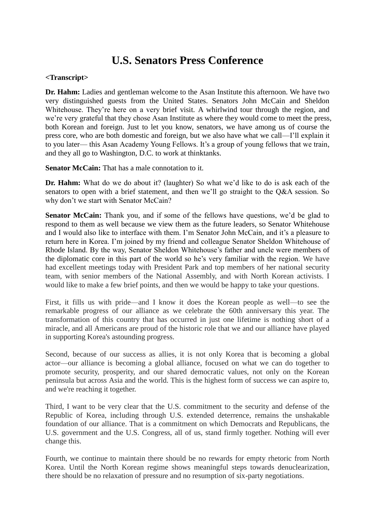## **U.S. Senators Press Conference**

## **<Transcript>**

**Dr. Hahm:** Ladies and gentleman welcome to the Asan Institute this afternoon. We have two very distinguished guests from the United States. Senators John McCain and Sheldon Whitehouse. They're here on a very brief visit. A whirlwind tour through the region, and we're very grateful that they chose Asan Institute as where they would come to meet the press, both Korean and foreign. Just to let you know, senators, we have among us of course the press core, who are both domestic and foreign, but we also have what we call—I'll explain it to you later— this Asan Academy Young Fellows. It's a group of young fellows that we train, and they all go to Washington, D.C. to work at thinktanks.

**Senator McCain:** That has a male connotation to it.

**Dr. Hahm:** What do we do about it? (laughter) So what we'd like to do is ask each of the senators to open with a brief statement, and then we'll go straight to the Q&A session. So why don't we start with Senator McCain?

**Senator McCain:** Thank you, and if some of the fellows have questions, we'd be glad to respond to them as well because we view them as the future leaders, so Senator Whitehouse and I would also like to interface with them. I'm Senator John McCain, and it's a pleasure to return here in Korea. I'm joined by my friend and colleague Senator Sheldon Whitehouse of Rhode Island. By the way, Senator Sheldon Whitehouse's father and uncle were members of the diplomatic core in this part of the world so he's very familiar with the region. We have had excellent meetings today with President Park and top members of her national security team, with senior members of the National Assembly, and with North Korean activists. I would like to make a few brief points, and then we would be happy to take your questions.

First, it fills us with pride—and I know it does the Korean people as well—to see the remarkable progress of our alliance as we celebrate the 60th anniversary this year. The transformation of this country that has occurred in just one lifetime is nothing short of a miracle, and all Americans are proud of the historic role that we and our alliance have played in supporting Korea's astounding progress.

Second, because of our success as allies, it is not only Korea that is becoming a global actor—our alliance is becoming a global alliance, focused on what we can do together to promote security, prosperity, and our shared democratic values, not only on the Korean peninsula but across Asia and the world. This is the highest form of success we can aspire to, and we're reaching it together.

Third, I want to be very clear that the U.S. commitment to the security and defense of the Republic of Korea, including through U.S. extended deterrence, remains the unshakable foundation of our alliance. That is a commitment on which Democrats and Republicans, the U.S. government and the U.S. Congress, all of us, stand firmly together. Nothing will ever change this.

Fourth, we continue to maintain there should be no rewards for empty rhetoric from North Korea. Until the North Korean regime shows meaningful steps towards denuclearization, there should be no relaxation of pressure and no resumption of six-party negotiations.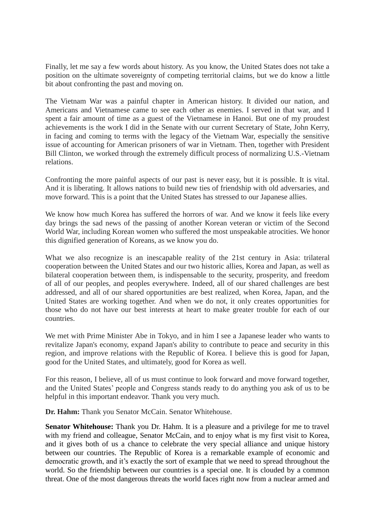Finally, let me say a few words about history. As you know, the United States does not take a position on the ultimate sovereignty of competing territorial claims, but we do know a little bit about confronting the past and moving on.

The Vietnam War was a painful chapter in American history. It divided our nation, and Americans and Vietnamese came to see each other as enemies. I served in that war, and I spent a fair amount of time as a guest of the Vietnamese in Hanoi. But one of my proudest achievements is the work I did in the Senate with our current Secretary of State, John Kerry, in facing and coming to terms with the legacy of the Vietnam War, especially the sensitive issue of accounting for American prisoners of war in Vietnam. Then, together with President Bill Clinton, we worked through the extremely difficult process of normalizing U.S.-Vietnam relations.

Confronting the more painful aspects of our past is never easy, but it is possible. It is vital. And it is liberating. It allows nations to build new ties of friendship with old adversaries, and move forward. This is a point that the United States has stressed to our Japanese allies.

We know how much Korea has suffered the horrors of war. And we know it feels like every day brings the sad news of the passing of another Korean veteran or victim of the Second World War, including Korean women who suffered the most unspeakable atrocities. We honor this dignified generation of Koreans, as we know you do.

What we also recognize is an inescapable reality of the 21st century in Asia: trilateral cooperation between the United States and our two historic allies, Korea and Japan, as well as bilateral cooperation between them, is indispensable to the security, prosperity, and freedom of all of our peoples, and peoples everywhere. Indeed, all of our shared challenges are best addressed, and all of our shared opportunities are best realized, when Korea, Japan, and the United States are working together. And when we do not, it only creates opportunities for those who do not have our best interests at heart to make greater trouble for each of our countries.

We met with Prime Minister Abe in Tokyo, and in him I see a Japanese leader who wants to revitalize Japan's economy, expand Japan's ability to contribute to peace and security in this region, and improve relations with the Republic of Korea. I believe this is good for Japan, good for the United States, and ultimately, good for Korea as well.

For this reason, I believe, all of us must continue to look forward and move forward together, and the United States' people and Congress stands ready to do anything you ask of us to be helpful in this important endeavor. Thank you very much.

**Dr. Hahm:** Thank you Senator McCain. Senator Whitehouse.

**Senator Whitehouse:** Thank you Dr. Hahm. It is a pleasure and a privilege for me to travel with my friend and colleague, Senator McCain, and to enjoy what is my first visit to Korea, and it gives both of us a chance to celebrate the very special alliance and unique history between our countries. The Republic of Korea is a remarkable example of economic and democratic growth, and it's exactly the sort of example that we need to spread throughout the world. So the friendship between our countries is a special one. It is clouded by a common threat. One of the most dangerous threats the world faces right now from a nuclear armed and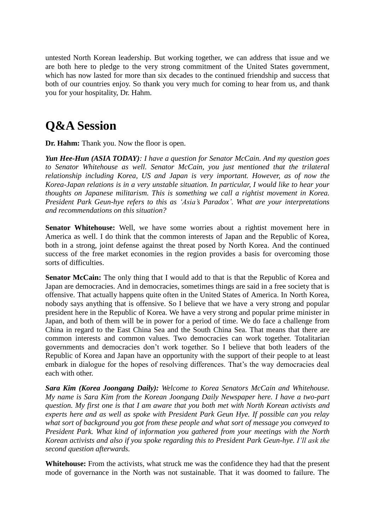untested North Korean leadership. But working together, we can address that issue and we are both here to pledge to the very strong commitment of the United States government, which has now lasted for more than six decades to the continued friendship and success that both of our countries enjoy. So thank you very much for coming to hear from us, and thank you for your hospitality, Dr. Hahm.

## **Q&A Session**

**Dr. Hahm:** Thank you. Now the floor is open.

*Yun Hee-Hun (ASIA TODAY): I have a question for Senator McCain. And my question goes to Senator Whitehouse as well. Senator McCain, you just mentioned that the trilateral relationship including Korea, US and Japan is very important. However, as of now the Korea-Japan relations is in a very unstable situation. In particular, I would like to hear your thoughts on Japanese militarism. This is something we call a rightist movement in Korea. President Park Geun-hye refers to this as 'Asia's Paradox'. What are your interpretations and recommendations on this situation?*

**Senator Whitehouse:** Well, we have some worries about a rightist movement here in America as well. I do think that the common interests of Japan and the Republic of Korea, both in a strong, joint defense against the threat posed by North Korea. And the continued success of the free market economies in the region provides a basis for overcoming those sorts of difficulties.

**Senator McCain:** The only thing that I would add to that is that the Republic of Korea and Japan are democracies. And in democracies, sometimes things are said in a free society that is offensive. That actually happens quite often in the United States of America. In North Korea, nobody says anything that is offensive. So I believe that we have a very strong and popular president here in the Republic of Korea. We have a very strong and popular prime minister in Japan, and both of them will be in power for a period of time. We do face a challenge from China in regard to the East China Sea and the South China Sea. That means that there are common interests and common values. Two democracies can work together. Totalitarian governments and democracies don't work together. So I believe that both leaders of the Republic of Korea and Japan have an opportunity with the support of their people to at least embark in dialogue for the hopes of resolving differences. That's the way democracies deal each with other.

*Sara Kim (Korea Joongang Daily): Welcome to Korea Senators McCain and Whitehouse. My name is Sara Kim from the Korean Joongang Daily Newspaper here. I have a two-part question. My first one is that I am aware that you both met with North Korean activists and experts here and as well as spoke with President Park Geun Hye. If possible can you relay what sort of background you got from these people and what sort of message you conveyed to President Park. What kind of information you gathered from your meetings with the North Korean activists and also if you spoke regarding this to President Park Geun-hye. I'll ask the second question afterwards.* 

**Whitehouse:** From the activists, what struck me was the confidence they had that the present mode of governance in the North was not sustainable. That it was doomed to failure. The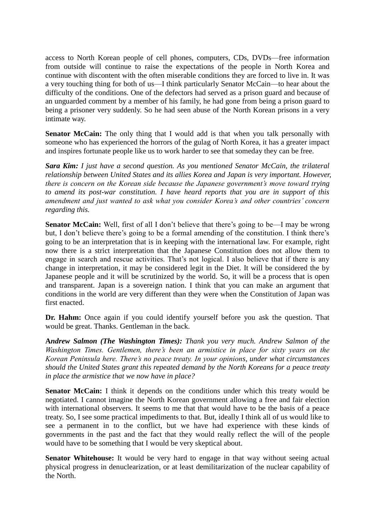access to North Korean people of cell phones, computers, CDs, DVDs—free information from outside will continue to raise the expectations of the people in North Korea and continue with discontent with the often miserable conditions they are forced to live in. It was a very touching thing for both of us—I think particularly Senator McCain—to hear about the difficulty of the conditions. One of the defectors had served as a prison guard and because of an unguarded comment by a member of his family, he had gone from being a prison guard to being a prisoner very suddenly. So he had seen abuse of the North Korean prisons in a very intimate way.

**Senator McCain:** The only thing that I would add is that when you talk personally with someone who has experienced the horrors of the gulag of North Korea, it has a greater impact and inspires fortunate people like us to work harder to see that someday they can be free.

*Sara Kim: I just have a second question. As you mentioned Senator McCain, the trilateral relationship between United States and its allies Korea and Japan is very important. However, there is concern on the Korean side because the Japanese government's move toward trying to amend its post-war constitution. I have heard reports that you are in support of this amendment and just wanted to ask what you consider Korea's and other countries' concern regarding this.* 

**Senator McCain:** Well, first of all I don't believe that there's going to be—I may be wrong but, I don't believe there's going to be a formal amending of the constitution. I think there's going to be an interpretation that is in keeping with the international law. For example, right now there is a strict interpretation that the Japanese Constitution does not allow them to engage in search and rescue activities. That's not logical. I also believe that if there is any change in interpretation, it may be considered legit in the Diet. It will be considered the by Japanese people and it will be scrutinized by the world. So, it will be a process that is open and transparent. Japan is a sovereign nation. I think that you can make an argument that conditions in the world are very different than they were when the Constitution of Japan was first enacted.

**Dr. Hahm:** Once again if you could identify yourself before you ask the question. That would be great. Thanks. Gentleman in the back.

**A***ndrew Salmon (The Washington Times): Thank you very much. Andrew Salmon of the Washington Times. Gentlemen, there's been an armistice in place for sixty years on the Korean Peninsula here. There's no peace treaty. In your opinions, under what circumstances should the United States grant this repeated demand by the North Koreans for a peace treaty in place the armistice that we now have in place?*

**Senator McCain:** I think it depends on the conditions under which this treaty would be negotiated. I cannot imagine the North Korean government allowing a free and fair election with international observers. It seems to me that that would have to be the basis of a peace treaty. So, I see some practical impediments to that. But, ideally I think all of us would like to see a permanent in to the conflict, but we have had experience with these kinds of governments in the past and the fact that they would really reflect the will of the people would have to be something that I would be very skeptical about.

**Senator Whitehouse:** It would be very hard to engage in that way without seeing actual physical progress in denuclearization, or at least demilitarization of the nuclear capability of the North.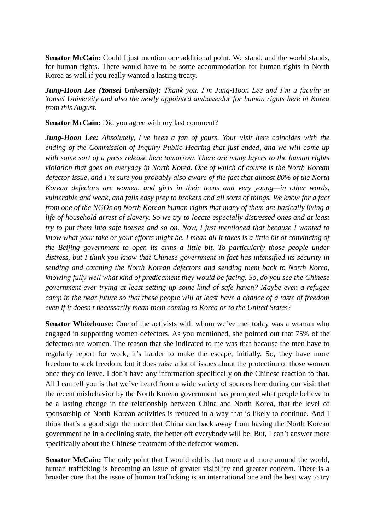**Senator McCain:** Could I just mention one additional point. We stand, and the world stands, for human rights. There would have to be some accommodation for human rights in North Korea as well if you really wanted a lasting treaty.

*Jung-Hoon Lee (Yonsei University): Thank you. I'm Jung-Hoon Lee and I'm a faculty at Yonsei University and also the newly appointed ambassador for human rights here in Korea from this August.* 

**Senator McCain:** Did you agree with my last comment?

*Jung-Hoon Lee: Absolutely, I've been a fan of yours. Your visit here coincides with the ending of the Commission of Inquiry Public Hearing that just ended, and we will come up with some sort of a press release here tomorrow. There are many layers to the human rights violation that goes on everyday in North Korea. One of which of course is the North Korean defector issue, and I'm sure you probably also aware of the fact that almost 80% of the North Korean defectors are women, and girls in their teens and very young—in other words, vulnerable and weak, and falls easy prey to brokers and all sorts of things. We know for a fact from one of the NGOs on North Korean human rights that many of them are basically living a life of household arrest of slavery. So we try to locate especially distressed ones and at least try to put them into safe houses and so on. Now, I just mentioned that because I wanted to know what your take or your efforts might be. I mean all it takes is a little bit of convincing of the Beijing government to open its arms a little bit. To particularly those people under distress, but I think you know that Chinese government in fact has intensified its security in sending and catching the North Korean defectors and sending them back to North Korea, knowing fully well what kind of predicament they would be facing. So, do you see the Chinese government ever trying at least setting up some kind of safe haven? Maybe even a refugee camp in the near future so that these people will at least have a chance of a taste of freedom even if it doesn't necessarily mean them coming to Korea or to the United States?*

**Senator Whitehouse:** One of the activists with whom we've met today was a woman who engaged in supporting women defectors. As you mentioned, she pointed out that 75% of the defectors are women. The reason that she indicated to me was that because the men have to regularly report for work, it's harder to make the escape, initially. So, they have more freedom to seek freedom, but it does raise a lot of issues about the protection of those women once they do leave. I don't have any information specifically on the Chinese reaction to that. All I can tell you is that we've heard from a wide variety of sources here during our visit that the recent misbehavior by the North Korean government has prompted what people believe to be a lasting change in the relationship between China and North Korea, that the level of sponsorship of North Korean activities is reduced in a way that is likely to continue. And I think that's a good sign the more that China can back away from having the North Korean government be in a declining state, the better off everybody will be. But, I can't answer more specifically about the Chinese treatment of the defector women.

**Senator McCain:** The only point that I would add is that more and more around the world, human trafficking is becoming an issue of greater visibility and greater concern. There is a broader core that the issue of human trafficking is an international one and the best way to try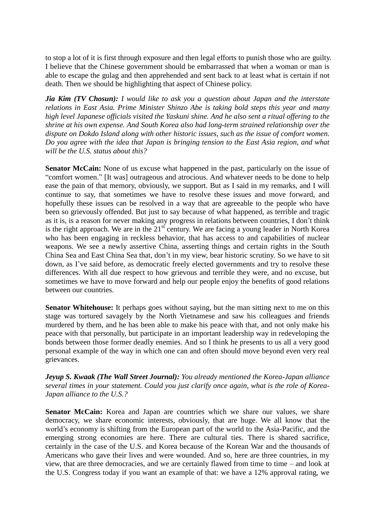to stop a lot of it is first through exposure and then legal efforts to punish those who are guilty. I believe that the Chinese government should be embarrassed that when a woman or man is able to escape the gulag and then apprehended and sent back to at least what is certain if not death. Then we should be highlighting that aspect of Chinese policy.

*Jia Kim (TV Chosun): I would like to ask you a question about Japan and the interstate relations in East Asia. Prime Minister Shinzo Abe is taking bold steps this year and many high level Japanese officials visited the Yaskuni shine. And he also sent a ritual offering to the shrine at his own expense. And South Korea also had long-term strained relationship over the dispute on Dokdo Island along with other historic issues, such as the issue of comfort women. Do you agree with the idea that Japan is bringing tension to the East Asia region, and what will be the U.S. status about this?* 

**Senator McCain:** None of us excuse what happened in the past, particularly on the issue of "comfort women." [It was] outrageous and atrocious. And whatever needs to be done to help ease the pain of that memory, obviously, we support. But as I said in my remarks, and I will continue to say, that sometimes we have to resolve these issues and move forward, and hopefully these issues can be resolved in a way that are agreeable to the people who have been so grievously offended. But just to say because of what happened, as terrible and tragic as it is, is a reason for never making any progress in relations between countries, I don't think is the right approach. We are in the  $21<sup>st</sup>$  century. We are facing a young leader in North Korea who has been engaging in reckless behavior, that has access to and capabilities of nuclear weapons. We see a newly assertive China, asserting things and certain rights in the South China Sea and East China Sea that, don't in my view, bear historic scrutiny. So we have to sit down, as I've said before, as democratic freely elected governments and try to resolve these differences. With all due respect to how grievous and terrible they were, and no excuse, but sometimes we have to move forward and help our people enjoy the benefits of good relations between our countries.

**Senator Whitehouse:** It perhaps goes without saying, but the man sitting next to me on this stage was tortured savagely by the North Vietnamese and saw his colleagues and friends murdered by them, and he has been able to make his peace with that, and not only make his peace with that personally, but participate in an important leadership way in redeveloping the bonds between those former deadly enemies. And so I think he presents to us all a very good personal example of the way in which one can and often should move beyond even very real grievances.

*Jeyup S. Kwaak (The Wall Street Journal): You already mentioned the Korea-Japan alliance several times in your statement. Could you just clarify once again, what is the role of Korea-Japan alliance to the U.S.?*

**Senator McCain:** Korea and Japan are countries which we share our values, we share democracy, we share economic interests, obviously, that are huge. We all know that the world's economy is shifting from the European part of the world to the Asia-Pacific, and the emerging strong economies are here. There are cultural ties. There is shared sacrifice, certainly in the case of the U.S. and Korea because of the Korean War and the thousands of Americans who gave their lives and were wounded. And so, here are three countries, in my view, that are three democracies, and we are certainly flawed from time to time – and look at the U.S. Congress today if you want an example of that: we have a 12% approval rating, we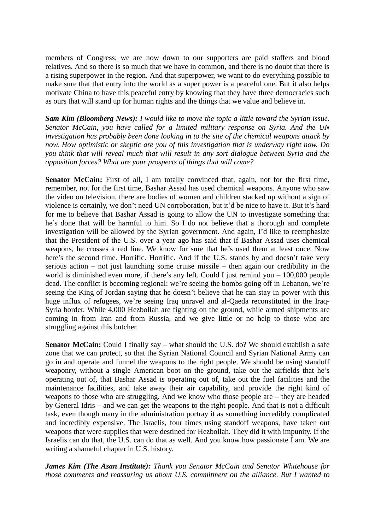members of Congress; we are now down to our supporters are paid staffers and blood relatives. And so there is so much that we have in common, and there is no doubt that there is a rising superpower in the region. And that superpower, we want to do everything possible to make sure that that entry into the world as a super power is a peaceful one. But it also helps motivate China to have this peaceful entry by knowing that they have three democracies such as ours that will stand up for human rights and the things that we value and believe in.

*Sam Kim (Bloomberg News): I would like to move the topic a little toward the Syrian issue. Senator McCain, you have called for a limited military response on Syria. And the UN investigation has probably been done looking in to the site of the chemical weapons attack by now. How optimistic or skeptic are you of this investigation that is underway right now. Do you think that will reveal much that will result in any sort dialogue between Syria and the opposition forces? What are your prospects of things that will come?*

Senator McCain: First of all, I am totally convinced that, again, not for the first time, remember, not for the first time, Bashar Assad has used chemical weapons. Anyone who saw the video on television, there are bodies of women and children stacked up without a sign of violence is certainly, we don't need UN corroboration, but it'd be nice to have it. But it's hard for me to believe that Bashar Assad is going to allow the UN to investigate something that he's done that will be harmful to him. So I do not believe that a thorough and complete investigation will be allowed by the Syrian government. And again, I'd like to reemphasize that the President of the U.S. over a year ago has said that if Bashar Assad uses chemical weapons, he crosses a red line. We know for sure that he's used them at least once. Now here's the second time. Horrific. Horrific. And if the U.S. stands by and doesn't take very serious action – not just launching some cruise missile – then again our credibility in the world is diminished even more, if there's any left. Could I just remind you – 100,000 people dead. The conflict is becoming regional: we're seeing the bombs going off in Lebanon, we're seeing the King of Jordan saying that he doesn't believe that he can stay in power with this huge influx of refugees, we're seeing Iraq unravel and al-Qaeda reconstituted in the Iraq-Syria border. While 4,000 Hezbollah are fighting on the ground, while armed shipments are coming in from Iran and from Russia, and we give little or no help to those who are struggling against this butcher.

**Senator McCain:** Could I finally say – what should the U.S. do? We should establish a safe zone that we can protect, so that the Syrian National Council and Syrian National Army can go in and operate and funnel the weapons to the right people. We should be using standoff weaponry, without a single American boot on the ground, take out the airfields that he's operating out of, that Bashar Assad is operating out of, take out the fuel facilities and the maintenance facilities, and take away their air capability, and provide the right kind of weapons to those who are struggling. And we know who those people are – they are headed by General Idris – and we can get the weapons to the right people. And that is not a difficult task, even though many in the administration portray it as something incredibly complicated and incredibly expensive. The Israelis, four times using standoff weapons, have taken out weapons that were supplies that were destined for Hezbollah. They did it with impunity. If the Israelis can do that, the U.S. can do that as well. And you know how passionate I am. We are writing a shameful chapter in U.S. history.

*James Kim (The Asan Institute): Thank you Senator McCain and Senator Whitehouse for those comments and reassuring us about U.S. commitment on the alliance. But I wanted to*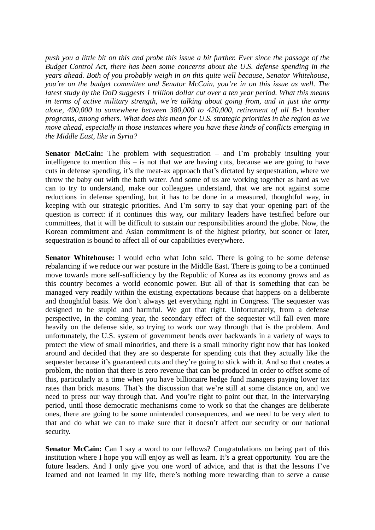*push you a little bit on this and probe this issue a bit further. Ever since the passage of the Budget Control Act, there has been some concerns about the U.S. defense spending in the years ahead. Both of you probably weigh in on this quite well because, Senator Whitehouse, you're on the budget committee and Senator McCain, you're in on this issue as well. The latest study by the DoD suggests 1 trillion dollar cut over a ten year period. What this means in terms of active military strength, we're talking about going from, and in just the army alone, 490,000 to somewhere between 380,000 to 420,000, retirement of all B-1 bomber programs, among others. What does this mean for U.S. strategic priorities in the region as we move ahead, especially in those instances where you have these kinds of conflicts emerging in the Middle East, like in Syria?*

**Senator McCain:** The problem with sequestration – and I'm probably insulting your intelligence to mention this – is not that we are having cuts, because we are going to have cuts in defense spending, it's the meat-ax approach that's dictated by sequestration, where we throw the baby out with the bath water. And some of us are working together as hard as we can to try to understand, make our colleagues understand, that we are not against some reductions in defense spending, but it has to be done in a measured, thoughtful way, in keeping with our strategic priorities. And I'm sorry to say that your opening part of the question is correct: if it continues this way, our military leaders have testified before our committees, that it will be difficult to sustain our responsibilities around the globe. Now, the Korean commitment and Asian commitment is of the highest priority, but sooner or later, sequestration is bound to affect all of our capabilities everywhere.

**Senator Whitehouse:** I would echo what John said. There is going to be some defense rebalancing if we reduce our war posture in the Middle East. There is going to be a continued move towards more self-sufficiency by the Republic of Korea as its economy grows and as this country becomes a world economic power. But all of that is something that can be managed very readily within the existing expectations because that happens on a deliberate and thoughtful basis. We don't always get everything right in Congress. The sequester was designed to be stupid and harmful. We got that right. Unfortunately, from a defense perspective, in the coming year, the secondary effect of the sequester will fall even more heavily on the defense side, so trying to work our way through that is the problem. And unfortunately, the U.S. system of government bends over backwards in a variety of ways to protect the view of small minorities, and there is a small minority right now that has looked around and decided that they are so desperate for spending cuts that they actually like the sequester because it's guaranteed cuts and they're going to stick with it. And so that creates a problem, the notion that there is zero revenue that can be produced in order to offset some of this, particularly at a time when you have billionaire hedge fund managers paying lower tax rates than brick masons. That's the discussion that we're still at some distance on, and we need to press our way through that. And you're right to point out that, in the intervarying period, until those democratic mechanisms come to work so that the changes are deliberate ones, there are going to be some unintended consequences, and we need to be very alert to that and do what we can to make sure that it doesn't affect our security or our national security.

**Senator McCain:** Can I say a word to our fellows? Congratulations on being part of this institution where I hope you will enjoy as well as learn. It's a great opportunity. You are the future leaders. And I only give you one word of advice, and that is that the lessons I've learned and not learned in my life, there's nothing more rewarding than to serve a cause